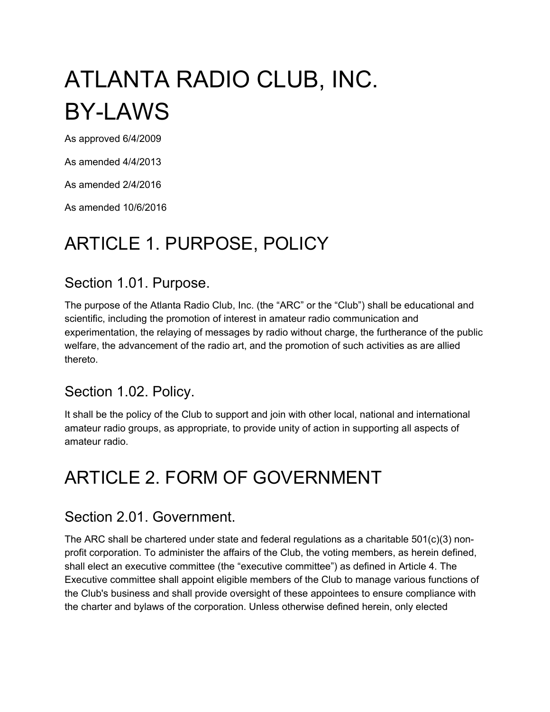# ATLANTA RADIO CLUB, INC. BY-LAWS

As approved 6/4/2009

As amended 4/4/2013

As amended 2/4/2016

As amended 10/6/2016

## ARTICLE 1. PURPOSE, POLICY

### Section 1.01. Purpose.

The purpose of the Atlanta Radio Club, Inc. (the "ARC" or the "Club") shall be educational and scientific, including the promotion of interest in amateur radio communication and experimentation, the relaying of messages by radio without charge, the furtherance of the public welfare, the advancement of the radio art, and the promotion of such activities as are allied thereto.

#### Section 1.02. Policy.

It shall be the policy of the Club to support and join with other local, national and international amateur radio groups, as appropriate, to provide unity of action in supporting all aspects of amateur radio.

## ARTICLE 2. FORM OF GOVERNMENT

#### Section 2.01. Government.

The ARC shall be chartered under state and federal regulations as a charitable 501(c)(3) nonprofit corporation. To administer the affairs of the Club, the voting members, as herein defined, shall elect an executive committee (the "executive committee") as defined in Article 4. The Executive committee shall appoint eligible members of the Club to manage various functions of the Club's business and shall provide oversight of these appointees to ensure compliance with the charter and bylaws of the corporation. Unless otherwise defined herein, only elected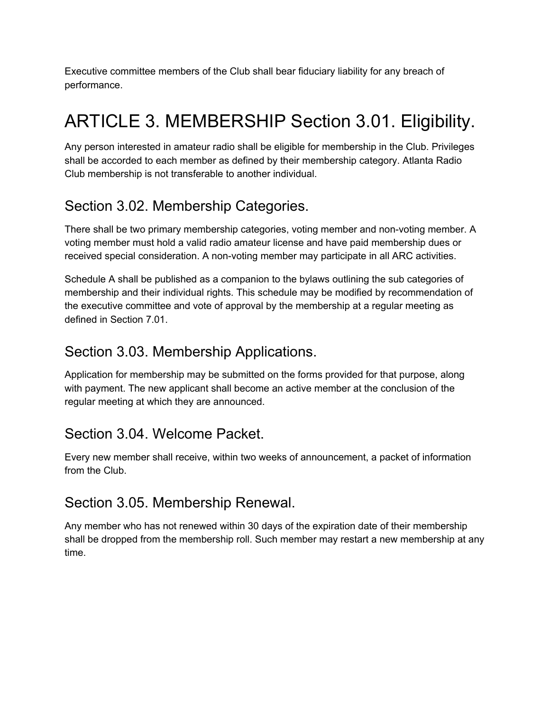Executive committee members of the Club shall bear fiduciary liability for any breach of performance.

## ARTICLE 3. MEMBERSHIP Section 3.01. Eligibility.

Any person interested in amateur radio shall be eligible for membership in the Club. Privileges shall be accorded to each member as defined by their membership category. Atlanta Radio Club membership is not transferable to another individual.

## Section 3.02. Membership Categories.

There shall be two primary membership categories, voting member and non-voting member. A voting member must hold a valid radio amateur license and have paid membership dues or received special consideration. A non-voting member may participate in all ARC activities.

Schedule A shall be published as a companion to the bylaws outlining the sub categories of membership and their individual rights. This schedule may be modified by recommendation of the executive committee and vote of approval by the membership at a regular meeting as defined in Section 7.01.

### Section 3.03. Membership Applications.

Application for membership may be submitted on the forms provided for that purpose, along with payment. The new applicant shall become an active member at the conclusion of the regular meeting at which they are announced.

## Section 3.04. Welcome Packet.

Every new member shall receive, within two weeks of announcement, a packet of information from the Club.

### Section 3.05. Membership Renewal.

Any member who has not renewed within 30 days of the expiration date of their membership shall be dropped from the membership roll. Such member may restart a new membership at any time.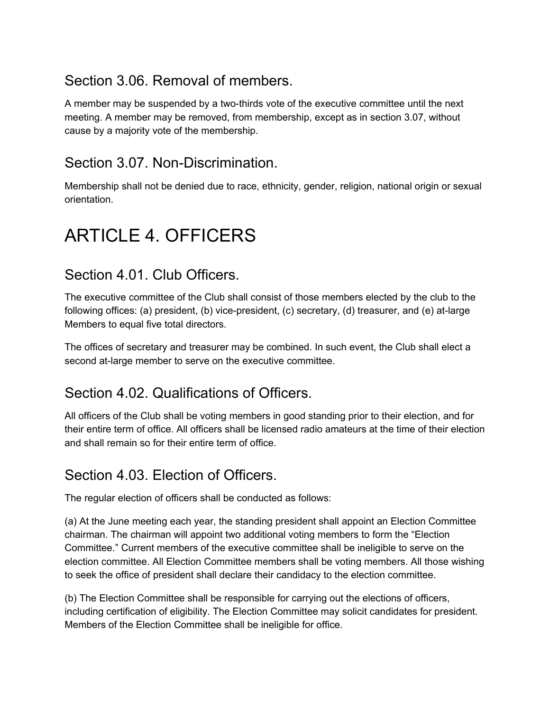## Section 3.06. Removal of members.

A member may be suspended by a two-thirds vote of the executive committee until the next meeting. A member may be removed, from membership, except as in section 3.07, without cause by a majority vote of the membership.

### Section 3.07. Non-Discrimination.

Membership shall not be denied due to race, ethnicity, gender, religion, national origin or sexual orientation.

## ARTICLE 4. OFFICERS

### Section 4.01. Club Officers.

The executive committee of the Club shall consist of those members elected by the club to the following offices: (a) president, (b) vice-president, (c) secretary, (d) treasurer, and (e) at-large Members to equal five total directors.

The offices of secretary and treasurer may be combined. In such event, the Club shall elect a second at-large member to serve on the executive committee.

## Section 4.02. Qualifications of Officers.

All officers of the Club shall be voting members in good standing prior to their election, and for their entire term of office. All officers shall be licensed radio amateurs at the time of their election and shall remain so for their entire term of office.

## Section 4.03. Election of Officers.

The regular election of officers shall be conducted as follows:

(a) At the June meeting each year, the standing president shall appoint an Election Committee chairman. The chairman will appoint two additional voting members to form the "Election Committee." Current members of the executive committee shall be ineligible to serve on the election committee. All Election Committee members shall be voting members. All those wishing to seek the office of president shall declare their candidacy to the election committee.

(b) The Election Committee shall be responsible for carrying out the elections of officers, including certification of eligibility. The Election Committee may solicit candidates for president. Members of the Election Committee shall be ineligible for office.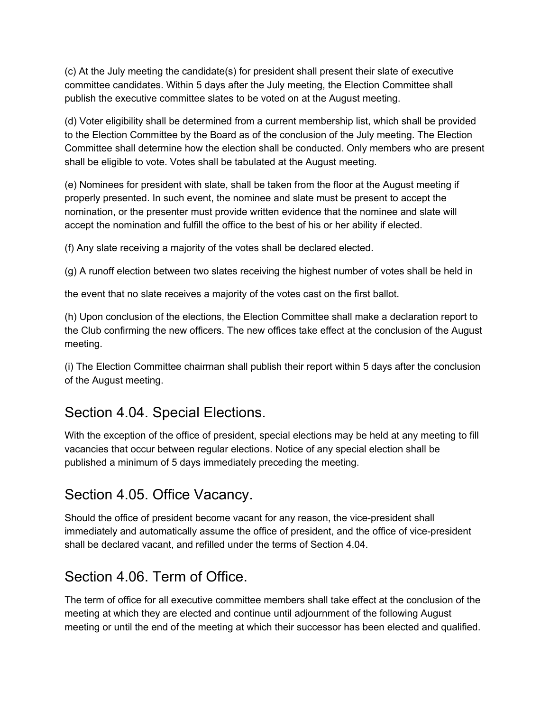(c) At the July meeting the candidate(s) for president shall present their slate of executive committee candidates. Within 5 days after the July meeting, the Election Committee shall publish the executive committee slates to be voted on at the August meeting.

(d) Voter eligibility shall be determined from a current membership list, which shall be provided to the Election Committee by the Board as of the conclusion of the July meeting. The Election Committee shall determine how the election shall be conducted. Only members who are present shall be eligible to vote. Votes shall be tabulated at the August meeting.

(e) Nominees for president with slate, shall be taken from the floor at the August meeting if properly presented. In such event, the nominee and slate must be present to accept the nomination, or the presenter must provide written evidence that the nominee and slate will accept the nomination and fulfill the office to the best of his or her ability if elected.

(f) Any slate receiving a majority of the votes shall be declared elected.

(g) A runoff election between two slates receiving the highest number of votes shall be held in

the event that no slate receives a majority of the votes cast on the first ballot.

(h) Upon conclusion of the elections, the Election Committee shall make a declaration report to the Club confirming the new officers. The new offices take effect at the conclusion of the August meeting.

(i) The Election Committee chairman shall publish their report within 5 days after the conclusion of the August meeting.

## Section 4.04. Special Elections.

With the exception of the office of president, special elections may be held at any meeting to fill vacancies that occur between regular elections. Notice of any special election shall be published a minimum of 5 days immediately preceding the meeting.

## Section 4.05. Office Vacancy.

Should the office of president become vacant for any reason, the vice-president shall immediately and automatically assume the office of president, and the office of vice-president shall be declared vacant, and refilled under the terms of Section 4.04.

### Section 4.06. Term of Office.

The term of office for all executive committee members shall take effect at the conclusion of the meeting at which they are elected and continue until adjournment of the following August meeting or until the end of the meeting at which their successor has been elected and qualified.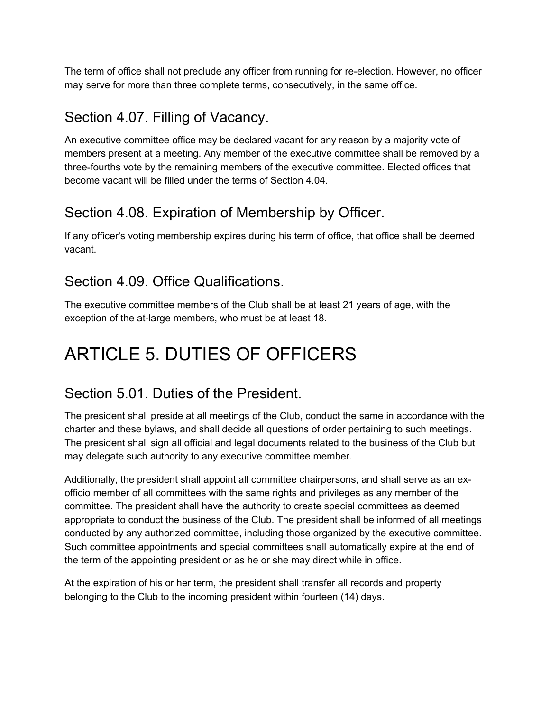The term of office shall not preclude any officer from running for re-election. However, no officer may serve for more than three complete terms, consecutively, in the same office.

### Section 4.07. Filling of Vacancy.

An executive committee office may be declared vacant for any reason by a majority vote of members present at a meeting. Any member of the executive committee shall be removed by a three-fourths vote by the remaining members of the executive committee. Elected offices that become vacant will be filled under the terms of Section 4.04.

## Section 4.08. Expiration of Membership by Officer.

If any officer's voting membership expires during his term of office, that office shall be deemed vacant.

## Section 4.09. Office Qualifications.

The executive committee members of the Club shall be at least 21 years of age, with the exception of the at-large members, who must be at least 18.

## ARTICLE 5. DUTIES OF OFFICERS

## Section 5.01. Duties of the President.

The president shall preside at all meetings of the Club, conduct the same in accordance with the charter and these bylaws, and shall decide all questions of order pertaining to such meetings. The president shall sign all official and legal documents related to the business of the Club but may delegate such authority to any executive committee member.

Additionally, the president shall appoint all committee chairpersons, and shall serve as an exofficio member of all committees with the same rights and privileges as any member of the committee. The president shall have the authority to create special committees as deemed appropriate to conduct the business of the Club. The president shall be informed of all meetings conducted by any authorized committee, including those organized by the executive committee. Such committee appointments and special committees shall automatically expire at the end of the term of the appointing president or as he or she may direct while in office.

At the expiration of his or her term, the president shall transfer all records and property belonging to the Club to the incoming president within fourteen (14) days.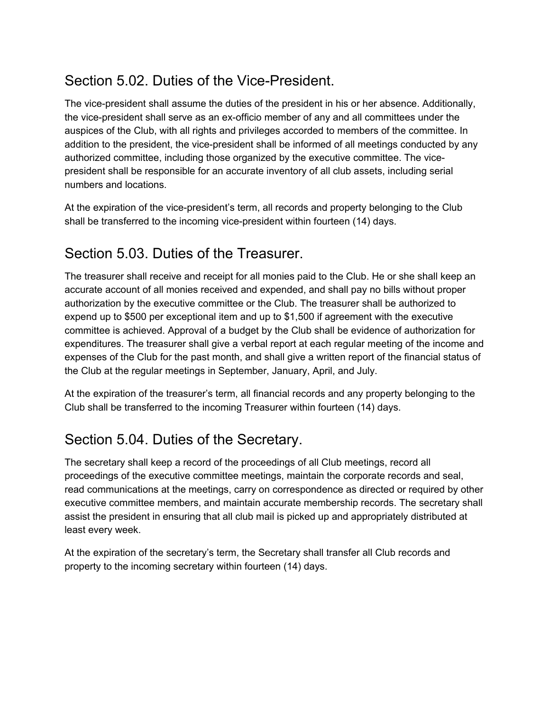## Section 5.02. Duties of the Vice-President.

The vice-president shall assume the duties of the president in his or her absence. Additionally, the vice-president shall serve as an ex-officio member of any and all committees under the auspices of the Club, with all rights and privileges accorded to members of the committee. In addition to the president, the vice-president shall be informed of all meetings conducted by any authorized committee, including those organized by the executive committee. The vicepresident shall be responsible for an accurate inventory of all club assets, including serial numbers and locations.

At the expiration of the vice-president's term, all records and property belonging to the Club shall be transferred to the incoming vice-president within fourteen (14) days.

## Section 5.03. Duties of the Treasurer.

The treasurer shall receive and receipt for all monies paid to the Club. He or she shall keep an accurate account of all monies received and expended, and shall pay no bills without proper authorization by the executive committee or the Club. The treasurer shall be authorized to expend up to \$500 per exceptional item and up to \$1,500 if agreement with the executive committee is achieved. Approval of a budget by the Club shall be evidence of authorization for expenditures. The treasurer shall give a verbal report at each regular meeting of the income and expenses of the Club for the past month, and shall give a written report of the financial status of the Club at the regular meetings in September, January, April, and July.

At the expiration of the treasurer's term, all financial records and any property belonging to the Club shall be transferred to the incoming Treasurer within fourteen (14) days.

## Section 5.04. Duties of the Secretary.

The secretary shall keep a record of the proceedings of all Club meetings, record all proceedings of the executive committee meetings, maintain the corporate records and seal, read communications at the meetings, carry on correspondence as directed or required by other executive committee members, and maintain accurate membership records. The secretary shall assist the president in ensuring that all club mail is picked up and appropriately distributed at least every week.

At the expiration of the secretary's term, the Secretary shall transfer all Club records and property to the incoming secretary within fourteen (14) days.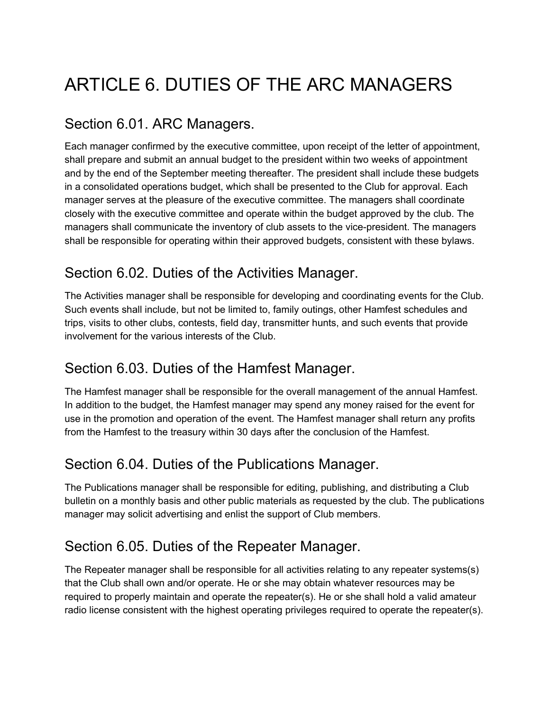## ARTICLE 6. DUTIES OF THE ARC MANAGERS

## Section 6.01. ARC Managers.

Each manager confirmed by the executive committee, upon receipt of the letter of appointment, shall prepare and submit an annual budget to the president within two weeks of appointment and by the end of the September meeting thereafter. The president shall include these budgets in a consolidated operations budget, which shall be presented to the Club for approval. Each manager serves at the pleasure of the executive committee. The managers shall coordinate closely with the executive committee and operate within the budget approved by the club. The managers shall communicate the inventory of club assets to the vice-president. The managers shall be responsible for operating within their approved budgets, consistent with these bylaws.

## Section 6.02. Duties of the Activities Manager.

The Activities manager shall be responsible for developing and coordinating events for the Club. Such events shall include, but not be limited to, family outings, other Hamfest schedules and trips, visits to other clubs, contests, field day, transmitter hunts, and such events that provide involvement for the various interests of the Club.

## Section 6.03. Duties of the Hamfest Manager.

The Hamfest manager shall be responsible for the overall management of the annual Hamfest. In addition to the budget, the Hamfest manager may spend any money raised for the event for use in the promotion and operation of the event. The Hamfest manager shall return any profits from the Hamfest to the treasury within 30 days after the conclusion of the Hamfest.

## Section 6.04. Duties of the Publications Manager.

The Publications manager shall be responsible for editing, publishing, and distributing a Club bulletin on a monthly basis and other public materials as requested by the club. The publications manager may solicit advertising and enlist the support of Club members.

## Section 6.05. Duties of the Repeater Manager.

The Repeater manager shall be responsible for all activities relating to any repeater systems(s) that the Club shall own and/or operate. He or she may obtain whatever resources may be required to properly maintain and operate the repeater(s). He or she shall hold a valid amateur radio license consistent with the highest operating privileges required to operate the repeater(s).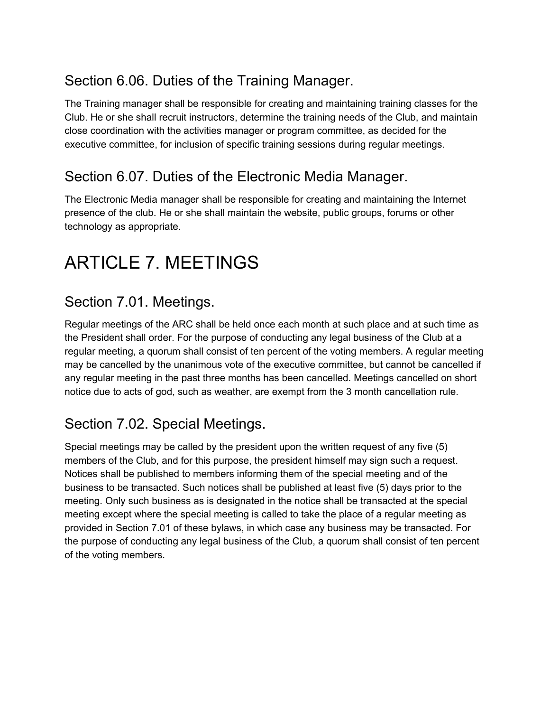## Section 6.06. Duties of the Training Manager.

The Training manager shall be responsible for creating and maintaining training classes for the Club. He or she shall recruit instructors, determine the training needs of the Club, and maintain close coordination with the activities manager or program committee, as decided for the executive committee, for inclusion of specific training sessions during regular meetings.

### Section 6.07. Duties of the Electronic Media Manager.

The Electronic Media manager shall be responsible for creating and maintaining the Internet presence of the club. He or she shall maintain the website, public groups, forums or other technology as appropriate.

## ARTICLE 7. MEETINGS

### Section 7.01. Meetings.

Regular meetings of the ARC shall be held once each month at such place and at such time as the President shall order. For the purpose of conducting any legal business of the Club at a regular meeting, a quorum shall consist of ten percent of the voting members. A regular meeting may be cancelled by the unanimous vote of the executive committee, but cannot be cancelled if any regular meeting in the past three months has been cancelled. Meetings cancelled on short notice due to acts of god, such as weather, are exempt from the 3 month cancellation rule.

## Section 7.02. Special Meetings.

Special meetings may be called by the president upon the written request of any five (5) members of the Club, and for this purpose, the president himself may sign such a request. Notices shall be published to members informing them of the special meeting and of the business to be transacted. Such notices shall be published at least five (5) days prior to the meeting. Only such business as is designated in the notice shall be transacted at the special meeting except where the special meeting is called to take the place of a regular meeting as provided in Section 7.01 of these bylaws, in which case any business may be transacted. For the purpose of conducting any legal business of the Club, a quorum shall consist of ten percent of the voting members.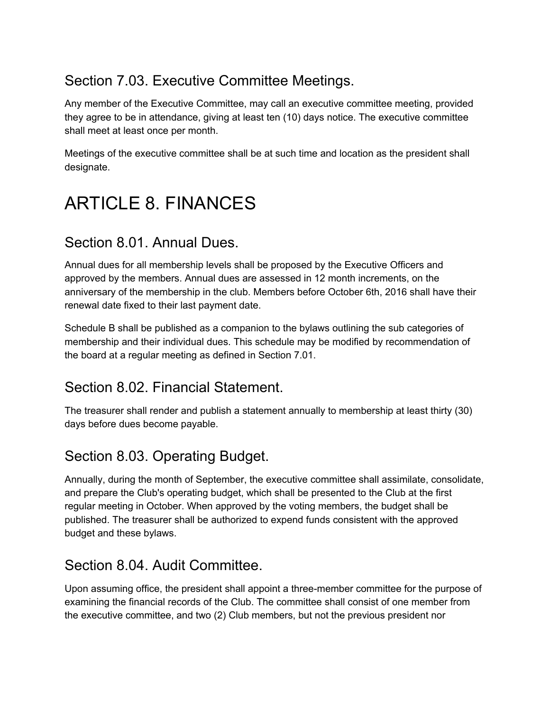## Section 7.03. Executive Committee Meetings.

Any member of the Executive Committee, may call an executive committee meeting, provided they agree to be in attendance, giving at least ten (10) days notice. The executive committee shall meet at least once per month.

Meetings of the executive committee shall be at such time and location as the president shall designate.

## ARTICLE 8. FINANCES

## Section 8.01. Annual Dues.

Annual dues for all membership levels shall be proposed by the Executive Officers and approved by the members. Annual dues are assessed in 12 month increments, on the anniversary of the membership in the club. Members before October 6th, 2016 shall have their renewal date fixed to their last payment date.

Schedule B shall be published as a companion to the bylaws outlining the sub categories of membership and their individual dues. This schedule may be modified by recommendation of the board at a regular meeting as defined in Section 7.01.

### Section 8.02. Financial Statement.

The treasurer shall render and publish a statement annually to membership at least thirty (30) days before dues become payable.

## Section 8.03. Operating Budget.

Annually, during the month of September, the executive committee shall assimilate, consolidate, and prepare the Club's operating budget, which shall be presented to the Club at the first regular meeting in October. When approved by the voting members, the budget shall be published. The treasurer shall be authorized to expend funds consistent with the approved budget and these bylaws.

### Section 8.04. Audit Committee.

Upon assuming office, the president shall appoint a three-member committee for the purpose of examining the financial records of the Club. The committee shall consist of one member from the executive committee, and two (2) Club members, but not the previous president nor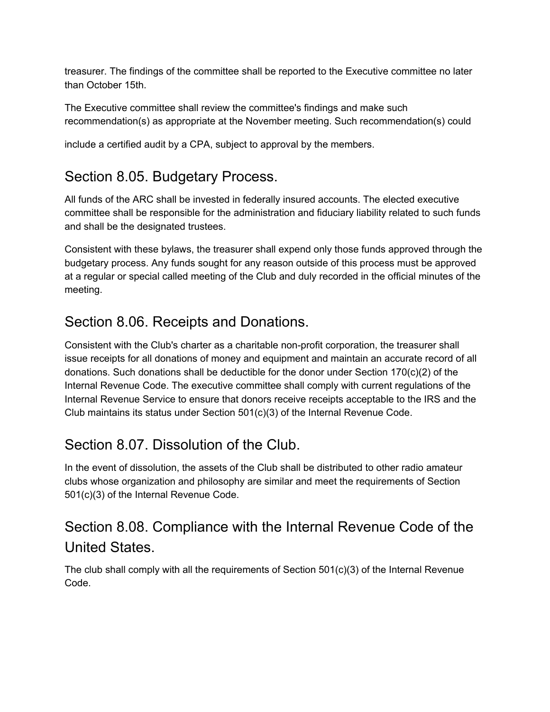treasurer. The findings of the committee shall be reported to the Executive committee no later than October 15th.

The Executive committee shall review the committee's findings and make such recommendation(s) as appropriate at the November meeting. Such recommendation(s) could

include a certified audit by a CPA, subject to approval by the members.

## Section 8.05. Budgetary Process.

All funds of the ARC shall be invested in federally insured accounts. The elected executive committee shall be responsible for the administration and fiduciary liability related to such funds and shall be the designated trustees.

Consistent with these bylaws, the treasurer shall expend only those funds approved through the budgetary process. Any funds sought for any reason outside of this process must be approved at a regular or special called meeting of the Club and duly recorded in the official minutes of the meeting.

## Section 8.06. Receipts and Donations.

Consistent with the Club's charter as a charitable non-profit corporation, the treasurer shall issue receipts for all donations of money and equipment and maintain an accurate record of all donations. Such donations shall be deductible for the donor under Section 170(c)(2) of the Internal Revenue Code. The executive committee shall comply with current regulations of the Internal Revenue Service to ensure that donors receive receipts acceptable to the IRS and the Club maintains its status under Section 501(c)(3) of the Internal Revenue Code.

## Section 8.07. Dissolution of the Club.

In the event of dissolution, the assets of the Club shall be distributed to other radio amateur clubs whose organization and philosophy are similar and meet the requirements of Section 501(c)(3) of the Internal Revenue Code.

## Section 8.08. Compliance with the Internal Revenue Code of the United States.

The club shall comply with all the requirements of Section  $501(c)(3)$  of the Internal Revenue Code.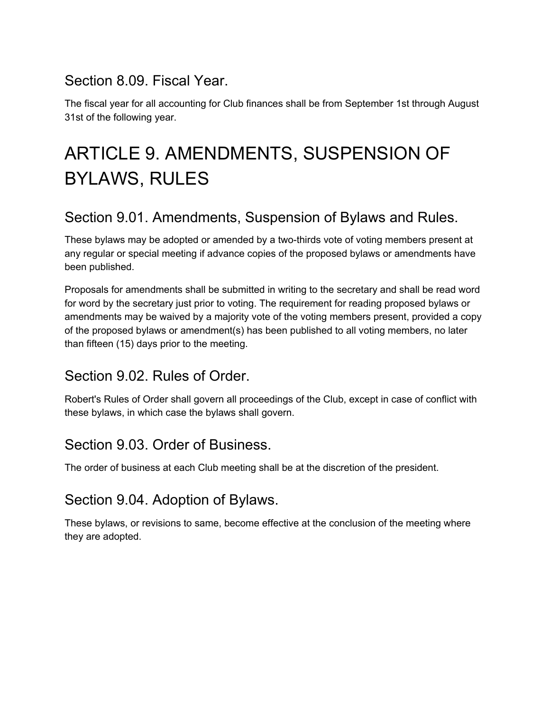### Section 8.09. Fiscal Year.

The fiscal year for all accounting for Club finances shall be from September 1st through August 31st of the following year.

## ARTICLE 9. AMENDMENTS, SUSPENSION OF BYLAWS, RULES

## Section 9.01. Amendments, Suspension of Bylaws and Rules.

These bylaws may be adopted or amended by a two-thirds vote of voting members present at any regular or special meeting if advance copies of the proposed bylaws or amendments have been published.

Proposals for amendments shall be submitted in writing to the secretary and shall be read word for word by the secretary just prior to voting. The requirement for reading proposed bylaws or amendments may be waived by a majority vote of the voting members present, provided a copy of the proposed bylaws or amendment(s) has been published to all voting members, no later than fifteen (15) days prior to the meeting.

## Section 9.02. Rules of Order.

Robert's Rules of Order shall govern all proceedings of the Club, except in case of conflict with these bylaws, in which case the bylaws shall govern.

## Section 9.03. Order of Business.

The order of business at each Club meeting shall be at the discretion of the president.

## Section 9.04. Adoption of Bylaws.

These bylaws, or revisions to same, become effective at the conclusion of the meeting where they are adopted.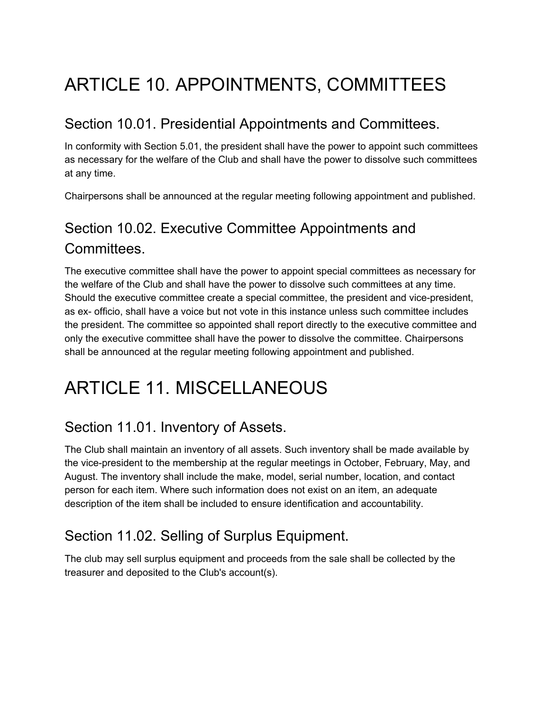## ARTICLE 10. APPOINTMENTS, COMMITTEES

## Section 10.01. Presidential Appointments and Committees.

In conformity with Section 5.01, the president shall have the power to appoint such committees as necessary for the welfare of the Club and shall have the power to dissolve such committees at any time.

Chairpersons shall be announced at the regular meeting following appointment and published.

## Section 10.02. Executive Committee Appointments and Committees.

The executive committee shall have the power to appoint special committees as necessary for the welfare of the Club and shall have the power to dissolve such committees at any time. Should the executive committee create a special committee, the president and vice-president, as ex- officio, shall have a voice but not vote in this instance unless such committee includes the president. The committee so appointed shall report directly to the executive committee and only the executive committee shall have the power to dissolve the committee. Chairpersons shall be announced at the regular meeting following appointment and published.

## ARTICLE 11. MISCELLANEOUS

## Section 11.01. Inventory of Assets.

The Club shall maintain an inventory of all assets. Such inventory shall be made available by the vice-president to the membership at the regular meetings in October, February, May, and August. The inventory shall include the make, model, serial number, location, and contact person for each item. Where such information does not exist on an item, an adequate description of the item shall be included to ensure identification and accountability.

## Section 11.02. Selling of Surplus Equipment.

The club may sell surplus equipment and proceeds from the sale shall be collected by the treasurer and deposited to the Club's account(s).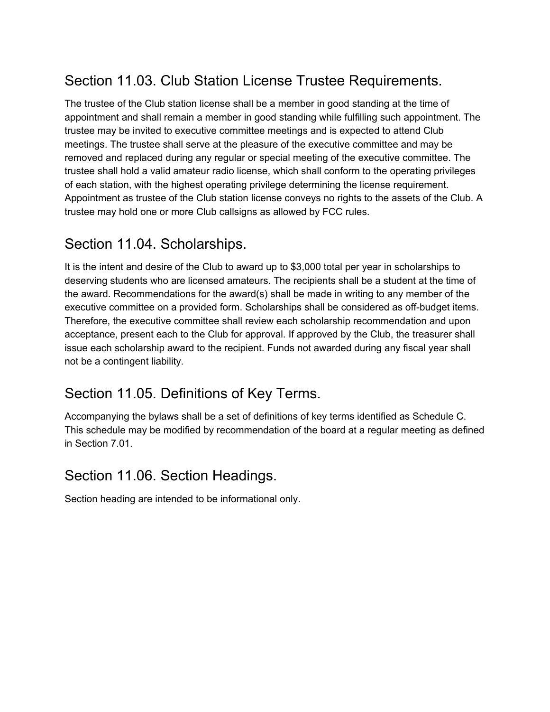## Section 11.03. Club Station License Trustee Requirements.

The trustee of the Club station license shall be a member in good standing at the time of appointment and shall remain a member in good standing while fulfilling such appointment. The trustee may be invited to executive committee meetings and is expected to attend Club meetings. The trustee shall serve at the pleasure of the executive committee and may be removed and replaced during any regular or special meeting of the executive committee. The trustee shall hold a valid amateur radio license, which shall conform to the operating privileges of each station, with the highest operating privilege determining the license requirement. Appointment as trustee of the Club station license conveys no rights to the assets of the Club. A trustee may hold one or more Club callsigns as allowed by FCC rules.

### Section 11.04. Scholarships.

It is the intent and desire of the Club to award up to \$3,000 total per year in scholarships to deserving students who are licensed amateurs. The recipients shall be a student at the time of the award. Recommendations for the award(s) shall be made in writing to any member of the executive committee on a provided form. Scholarships shall be considered as off-budget items. Therefore, the executive committee shall review each scholarship recommendation and upon acceptance, present each to the Club for approval. If approved by the Club, the treasurer shall issue each scholarship award to the recipient. Funds not awarded during any fiscal year shall not be a contingent liability.

## Section 11.05. Definitions of Key Terms.

Accompanying the bylaws shall be a set of definitions of key terms identified as Schedule C. This schedule may be modified by recommendation of the board at a regular meeting as defined in Section 7.01.

#### Section 11.06. Section Headings.

Section heading are intended to be informational only.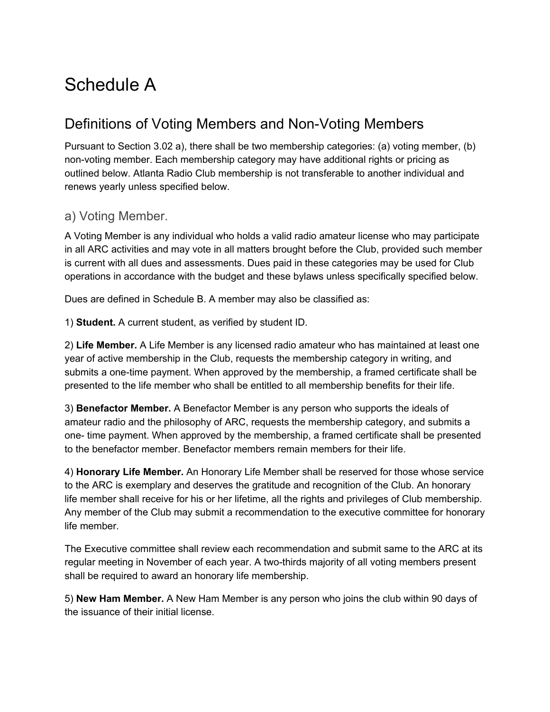## Schedule A

## Definitions of Voting Members and Non-Voting Members

Pursuant to Section 3.02 a), there shall be two membership categories: (a) voting member, (b) non-voting member. Each membership category may have additional rights or pricing as outlined below. Atlanta Radio Club membership is not transferable to another individual and renews yearly unless specified below.

#### a) Voting Member.

A Voting Member is any individual who holds a valid radio amateur license who may participate in all ARC activities and may vote in all matters brought before the Club, provided such member is current with all dues and assessments. Dues paid in these categories may be used for Club operations in accordance with the budget and these bylaws unless specifically specified below.

Dues are defined in Schedule B. A member may also be classified as:

1) **Student.** A current student, as verified by student ID.

2) **Life Member.** A Life Member is any licensed radio amateur who has maintained at least one year of active membership in the Club, requests the membership category in writing, and submits a one-time payment. When approved by the membership, a framed certificate shall be presented to the life member who shall be entitled to all membership benefits for their life.

3) **Benefactor Member.** A Benefactor Member is any person who supports the ideals of amateur radio and the philosophy of ARC, requests the membership category, and submits a one- time payment. When approved by the membership, a framed certificate shall be presented to the benefactor member. Benefactor members remain members for their life.

4) **Honorary Life Member.** An Honorary Life Member shall be reserved for those whose service to the ARC is exemplary and deserves the gratitude and recognition of the Club. An honorary life member shall receive for his or her lifetime, all the rights and privileges of Club membership. Any member of the Club may submit a recommendation to the executive committee for honorary life member.

The Executive committee shall review each recommendation and submit same to the ARC at its regular meeting in November of each year. A two-thirds majority of all voting members present shall be required to award an honorary life membership.

5) **New Ham Member.** A New Ham Member is any person who joins the club within 90 days of the issuance of their initial license.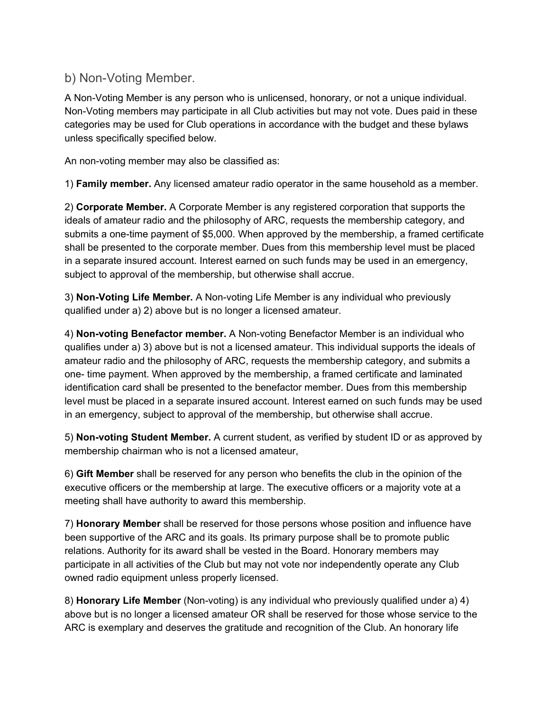#### b) Non-Voting Member.

A Non-Voting Member is any person who is unlicensed, honorary, or not a unique individual. Non-Voting members may participate in all Club activities but may not vote. Dues paid in these categories may be used for Club operations in accordance with the budget and these bylaws unless specifically specified below.

An non-voting member may also be classified as:

1) **Family member.** Any licensed amateur radio operator in the same household as a member.

2) **Corporate Member.** A Corporate Member is any registered corporation that supports the ideals of amateur radio and the philosophy of ARC, requests the membership category, and submits a one-time payment of \$5,000. When approved by the membership, a framed certificate shall be presented to the corporate member. Dues from this membership level must be placed in a separate insured account. Interest earned on such funds may be used in an emergency, subject to approval of the membership, but otherwise shall accrue.

3) **Non-Voting Life Member.** A Non-voting Life Member is any individual who previously qualified under a) 2) above but is no longer a licensed amateur.

4) **Non-voting Benefactor member.** A Non-voting Benefactor Member is an individual who qualifies under a) 3) above but is not a licensed amateur. This individual supports the ideals of amateur radio and the philosophy of ARC, requests the membership category, and submits a one- time payment. When approved by the membership, a framed certificate and laminated identification card shall be presented to the benefactor member. Dues from this membership level must be placed in a separate insured account. Interest earned on such funds may be used in an emergency, subject to approval of the membership, but otherwise shall accrue.

5) **Non-voting Student Member.** A current student, as verified by student ID or as approved by membership chairman who is not a licensed amateur,

6) **Gift Member** shall be reserved for any person who benefits the club in the opinion of the executive officers or the membership at large. The executive officers or a majority vote at a meeting shall have authority to award this membership.

7) **Honorary Member** shall be reserved for those persons whose position and influence have been supportive of the ARC and its goals. Its primary purpose shall be to promote public relations. Authority for its award shall be vested in the Board. Honorary members may participate in all activities of the Club but may not vote nor independently operate any Club owned radio equipment unless properly licensed.

8) **Honorary Life Member** (Non-voting) is any individual who previously qualified under a) 4) above but is no longer a licensed amateur OR shall be reserved for those whose service to the ARC is exemplary and deserves the gratitude and recognition of the Club. An honorary life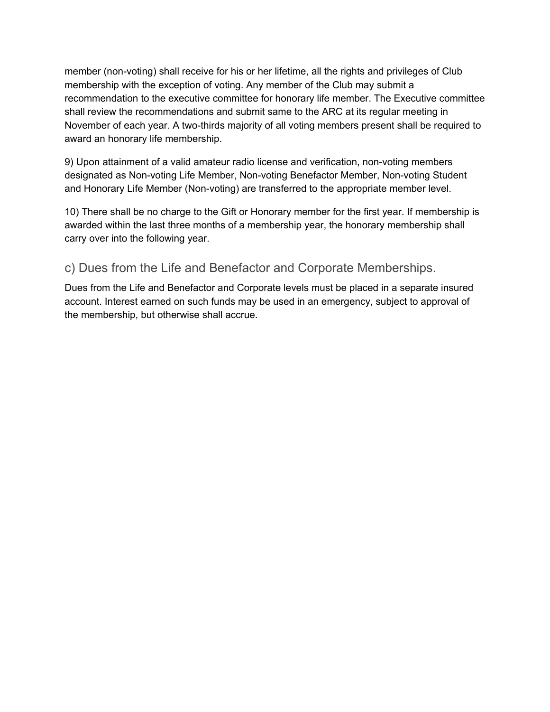member (non-voting) shall receive for his or her lifetime, all the rights and privileges of Club membership with the exception of voting. Any member of the Club may submit a recommendation to the executive committee for honorary life member. The Executive committee shall review the recommendations and submit same to the ARC at its regular meeting in November of each year. A two-thirds majority of all voting members present shall be required to award an honorary life membership.

9) Upon attainment of a valid amateur radio license and verification, non-voting members designated as Non-voting Life Member, Non-voting Benefactor Member, Non-voting Student and Honorary Life Member (Non-voting) are transferred to the appropriate member level.

10) There shall be no charge to the Gift or Honorary member for the first year. If membership is awarded within the last three months of a membership year, the honorary membership shall carry over into the following year.

#### c) Dues from the Life and Benefactor and Corporate Memberships.

Dues from the Life and Benefactor and Corporate levels must be placed in a separate insured account. Interest earned on such funds may be used in an emergency, subject to approval of the membership, but otherwise shall accrue.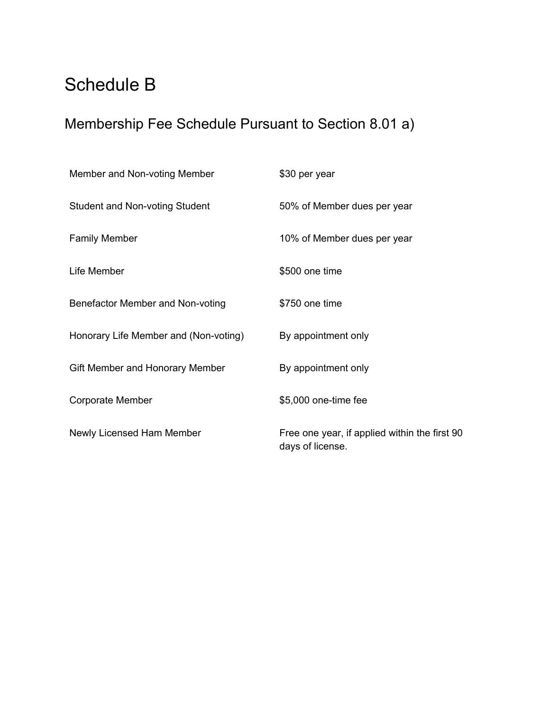## Schedule B

## Membership Fee Schedule Pursuant to Section 8.01 a)

| Member and Non-voting Member          | \$30 per year                                                     |
|---------------------------------------|-------------------------------------------------------------------|
| Student and Non-voting Student        | 50% of Member dues per year                                       |
| <b>Family Member</b>                  | 10% of Member dues per year                                       |
| Life Member                           | \$500 one time                                                    |
| Benefactor Member and Non-voting      | \$750 one time                                                    |
| Honorary Life Member and (Non-voting) | By appointment only                                               |
| Gift Member and Honorary Member       | By appointment only                                               |
| Corporate Member                      | \$5,000 one-time fee                                              |
| Newly Licensed Ham Member             | Free one year, if applied within the first 90<br>days of license. |